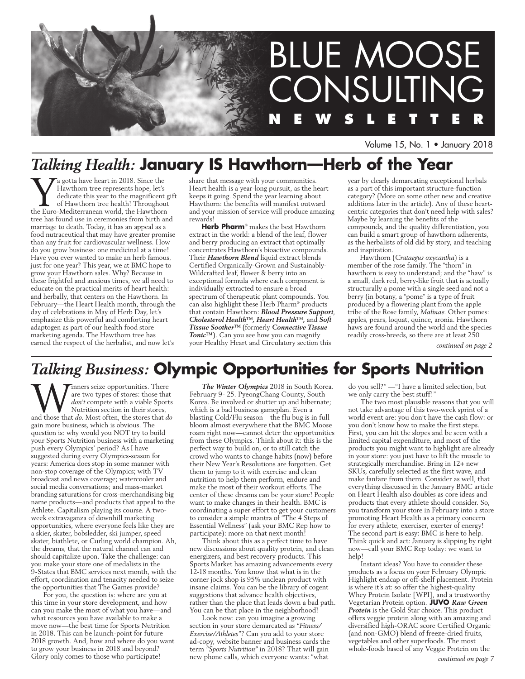

Volume 15, No. 1 • January 2018

# *Talking Health:* **January IS Hawthorn—Herb of the Year**

**WA** a gotta have heart in 2018. Since the Hawthorn tree represents hope, let's dedicate this year to the magnificent got Hawthorn tree health! Throughout the Euro-Mediterranean world, the Hawthorn Hawthorn tree represents hope, let's dedicate this year to the magnificent gift of Hawthorn tree health! Throughout tree has found use in ceremonies from birth and marriage to death. Today, it has an appeal as a food nutraceutical that may have greater promise than any fruit for cardiovascular wellness. How do you grow business: one medicinal at a time! Have you ever wanted to make an herb famous, just for one year? This year, we at BMC hope to grow your Hawthorn sales. Why? Because in these frightful and anxious times, we all need to educate on the practical merits of heart health: and herbally, that centers on the Hawthorn. In February—the Heart Health month, through the day of celebrations in May of Herb Day, let's emphasize this powerful and comforting heart adaptogen as part of our health food store marketing agenda. The Hawthorn tree has earned the respect of the herbalist, and now let's

share that message with your communities. Heart health is a year-long pursuit, as the heart keeps it going. Spend the year learning about Hawthorn: the benefits will manifest outward and your mission of service will produce amazing rewards!

**Herb Pharm**® makes the best Hawthorn extract in the world: a blend of the leaf, flower and berry producing an extract that optimally concentrates Hawthorn's bioactive compounds. Their *Hawthorn Blend* liquid extract blends Certified Organically-Grown and Sustainably-Wildcrafted leaf, flower & berry into an exceptional formula where each component is individually extracted to ensure a broad spectrum of therapeutic plant compounds. You can also highlight these Herb Pharm® products that contain Hawthorn: *Blood Pressure Support*, *Cholesterol Health™, Heart Health™,* and *Soft Tissue Soother™* (formerly *Connective Tissue Tonic™*). Can you see how you can magnify your Healthy Heart and Circulatory section this

year by clearly demarcating exceptional herbals as a part of this important structure-function category? (More on some other new and creative additions later in the article). Any of these heartcentric categories that don't need help with sales? Maybe by learning the benefits of the compounds, and the quality differentiation, you can build a smart group of hawthorn adherents, as the herbalists of old did by story, and teaching and inspiration.

Hawthorn (*Crataegus oxycantha*) is a member of the rose family. The "thorn" in hawthorn is easy to understand; and the "haw" is a small, dark red, berry-like fruit that is actually structurally a pome with a single seed and not a berry (in botany, a "pome" is a type of fruit produced by a flowering plant from the apple tribe of the Rose family, *Malinae*. Other pomes: apples, pears, loquat, quince, aronia. Hawthorn haws are found around the world and the species readily cross-breeds, so there are at least 250

*continued on page 2*

# *Talking Business:* **Olympic Opportunities for Sports Nutrition**

**W** are two types of stores: those that *don't* compete with a viable Sports Nutrition section in their stores, and those that *do*. Most often, the stores that *do* are two types of stores: those that *don't* compete with a viable Sports Nutrition section in their stores, gain more business, which is obvious. The question is: why would you NOT try to build your Sports Nutrition business with a marketing push every Olympics' period? As I have suggested during every Olympics-season for years: America does stop in some manner with non-stop coverage of the Olympics; with TV broadcast and news coverage; watercooler and social media conversations; and mass-market branding saturations for cross-merchandising big name products—and products that appeal to the Athlete. Capitalism playing its course. A twoweek extravaganza of downhill marketing opportunities, where everyone feels like they are a skier, skater, bobsledder, ski jumper, speed skater, biathlete, or Curling world champion. Ah, the dreams, that the natural channel can and should capitalize upon. Take the challenge: can you make your store one of medalists in the 9-States that BMC services next month, with the effort, coordination and tenacity needed to seize the opportunities that The Games provide?

For you, the question is: where are you at this time in your store development, and how can you make the most of what you have—and what resources you have available to make a move now—the best time for Sports Nutrition in 2018. This can be launch-point for future 2018 growth. And, how and where do you want to grow your business in 2018 and beyond? Glory only comes to those who participate!

*The Winter Olympics* 2018 in South Korea. February 9- 25. PyeongChang County, South Korea. Be involved or shutter up and hibernate; which is a bad business gameplan. Even a blasting Cold/Flu season—the flu bug is in full bloom almost everywhere that the BMC Moose roam right now—cannot deter the opportunities from these Olympics. Think about it: this is the perfect way to build on, or to still catch the crowd who wants to change habits (now) before their New Year's Resolutions are forgotten. Get them to jump to it with exercise and clean nutrition to help them perform, endure and make the most of their workout efforts. The center of these dreams can be your store! People want to make changes in their health. BMC is coordinating a super effort to get your customers to consider a simple mantra of "The 4 Steps of Essential Wellness" (ask your BMC Rep how to participate): more on that next month!

Think about this as a perfect time to have new discussions about quality protein, and clean energizers, and best recovery products. This Sports Market has amazing advancements every 12-18 months. You know that what is in the corner jock shop is 95% unclean product with insane claims. You can be the library of cogent suggestions that advance health objectives, rather than the place that leads down a bad path. You can be that place in the neighborhood!

Look now: can you imagine a growing section in your store demarcated as *"Fitness/ Exercise/Athletes"*? Can you add to your store ad-copy, website banner and business cards the term *"Sports Nutrition"* in 2018? That will gain new phone calls, which everyone wants: "what

do you sell?" —"I have a limited selection, but we only carry the best stuff!"

The two most plausible reasons that you will not take advantage of this two-week sprint of a world event are: you don't have the cash flow: or you don't know how to make the first steps. First, you can hit the slopes and be seen with a limited capital expenditure, and most of the products you might want to highlight are already in your store: you just have to lift the muscle to strategically merchandise. Bring in 12+ new SKUs, carefully selected as the first wave, and make fanfare from them. Consider as well, that everything discussed in the January BMC article on Heart Health also doubles as core ideas and products that every athlete should consider. So, you transform your store in February into a store promoting Heart Health as a primary concern for every athlete, exerciser, exerter of energy! The second part is easy: BMC is here to help. Think quick and act: January is slipping by right now—call your BMC Rep today: we want to help!

Instant ideas? You have to consider these products as a focus on your February Olympic Highlight endcap or off-shelf placement. Protein is where it's at: so offer the highest-quality Whey Protein Isolate [WPI], and a trustworthy Vegetarian Protein option. **JUVO** *Raw Green Protein* is the Gold Star choice. This product offers veggie protein along with an amazing and diversified high-ORAC score Certified Organic (and non-GMO) blend of freeze-dried fruits, vegetables and other superfoods. The most whole-foods based of any Veggie Protein on the *continued on page 7*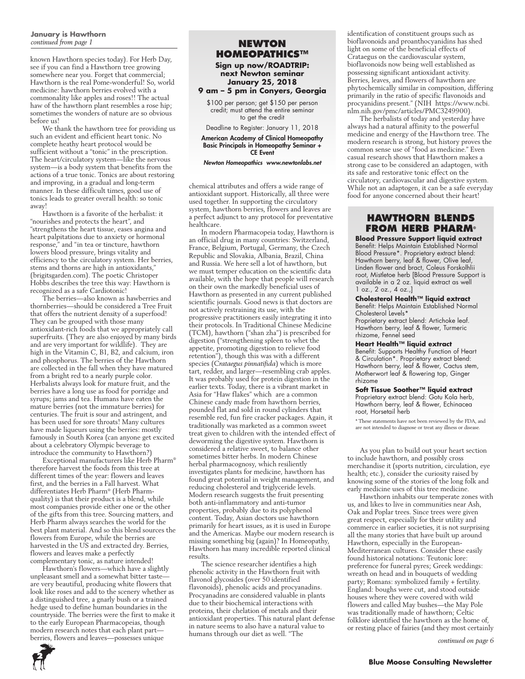### **January is Hawthorn**  *continued from page 1* **NEWTON**

known Hawthorn species today). For Herb Day, see if you can find a Hawthorn tree growing somewhere near you. Forget that commercial; Hawthorn is the real Pome-wonderful! So, world medicine: hawthorn berries evolved with a commonality like apples and roses!! The actual haw of the hawthorn plant resembles a rose hip; sometimes the wonders of nature are so obvious before us!

We thank the hawthorn tree for providing us such an evident and efficient heart tonic. No complete heathy heart protocol would be sufficient without a "tonic" in the prescription. The heart/circulatory system—like the nervous system—is a body system that benefits from the actions of a true tonic. Tonics are about restoring and improving, in a gradual and long-term manner. In these difficult times, good use of tonics leads to greater overall health: so tonic away!

Hawthorn is a favorite of the herbalist: it "nourishes and protects the heart", and "strengthens the heart tissue, eases angina and heart palpitations due to anxiety or hormonal response," and "in tea or tincture, hawthorn lowers blood pressure, brings vitality and efficiency to the circulatory system. Her berries, stems and thorns are high in antioxidants," (brigitsgarden.com). The poetic Christoper Hobbs describes the tree this way: Hawthorn is recognized as a safe Cardiotonic!

The berries—also known as hawberries and thornberries—should be considered a Tree Fruit that offers the nutrient density of a superfood! They can be grouped with those many antioxidant-rich foods that we appropriately call superfruits. (They are also enjoyed by many birds and are very important for wildlife). They are high in the Vitamin C, B1, B2, and calcium, iron and phosphorus. The berries of the Hawthorn are collected in the fall when they have matured from a bright red to a nearly purple color. Herbalists always look for mature fruit, and the berries have a long use as food for porridge and syrups; jams and tea. Humans have eaten the mature berries (not the immature berries) for centuries. The fruit is sour and astringent, and has been used for sore throats! Many cultures have made liqueurs using the berries: mostly famously in South Korea (can anyone get excited about a celebratory Olympic beverage to introduce the community to Hawthorn?)

Exceptional manufacturers like Herb Pharm® therefore harvest the foods from this tree at different times of the year: flowers and leaves first, and the berries in a Fall harvest. What differentiates Herb Pharm® (Herb Pharmquality) is that their product is a blend, while most companies provide either one or the other of the gifts from this tree. Sourcing matters, and Herb Pharm always searches the world for the best plant material. And so this blend sources the flowers from Europe, while the berries are harvested in the US and extracted dry. Berries, flowers and leaves make a perfectly complementary tonic, as nature intended!

Hawthorn's flowers—which have a slightly unpleasant smell and a somewhat bitter taste are very beautiful, producing white flowers that look like roses and add to the scenery whether as a distinguished tree, a gnarly bush or a trained hedge used to define human boundaries in the countryside. The berries were the first to make it to the early European Pharmacopeias, though modern research notes that each plant part berries, flowers and leaves—possesses unique

# **Homeopathics™**

**Sign up now/ROADTRIP: next Newton seminar January 25, 2018**

# **9 am – 5 pm in Conyers, Georgia**

\$100 per person; get \$150 per person credit; must attend the entire seminar to get the credit

Deadline to Register: January 11, 2018

American Academy of Clinical Homeopathy Basic Principals in Homeopathy Seminar + CE Event

#### *Newton Homeopathics www.newtonlabs.net*

chemical attributes and offers a wide range of antioxidant support. Historically, all three were used together. In supporting the circulatory system, hawthorn berries, flowers and leaves are a perfect adjunct to any protocol for preventative healthcare.

In modern Pharmacopeia today, Hawthorn is an official drug in many countries: Switzerland, France, Belgium, Portugal, Germany, the Czech Republic and Slovakia, Albania, Brazil, China and Russia. We here sell a lot of hawthorn, but we must temper education on the scientific data available, with the hope that people will research on their own the markedly beneficial uses of Hawthorn as presented in any current published scientific journals. Good news is that doctors are not actively restraining its use, with the progressive practitioners easily integrating it into their protocols. In Traditional Chinese Medicine (TCM), hawthorn ("shan zha") is prescribed for digestion ("strengthening spleen to whet the appetite, promoting digestion to relieve food retention"), though this was with a different species (*Crataegus pinnatifida*) which is more tart, redder, and larger—resembling crab apples. It was probably used for protein digestion in the earlier texts. Today, there is a vibrant market in Asia for "Haw flakes" which are a common Chinese candy made from hawthorn berries, pounded flat and sold in round cylinders that resemble red, fun fire cracker packages. Again, it traditionally was marketed as a common sweet treat given to children with the intended effect of deworming the digestive system. Hawthorn is considered a relative sweet, to balance other sometimes bitter herbs. In modern Chinese herbal pharmacognosy, which resiliently investigates plants for medicine, hawthorn has found great potential in weight management, and reducing cholesterol and triglyceride levels. Modern research suggests the fruit presenting both anti-inflammatory and anti-tumor properties, probably due to its polyphenol content. Today, Asian doctors use hawthorn primarily for heart issues, as it is used in Europe and the Americas. Maybe our modern research is missing something big (again)? In Homeopathy, Hawthorn has many incredible reported clinical results.

The science researcher identifies a high phenolic activity in the Hawthorn fruit with flavonol glycosides (over 50 identified flavonoids), phenolic acids and procyanadins. Procyanadins are considered valuable in plants due to their biochemical interactions with proteins, their chelation of metals and their antioxidant properties. This natural plant defense in nature seems to also have a natural value to humans through our diet as well. "The

identification of constituent groups such as bioflavonoids and proanthocyanidins has shed light on some of the beneficial effects of Crataegus on the cardiovascular system, bioflavonoids now being well established as possessing significant antioxidant activity. Berries, leaves, and flowers of hawthorn are phytochemically similar in composition, differing primarily in the ratio of specific flavonoids and procyanidins present." (NIH https://www.ncbi. nlm.nih.gov/pmc/articles/PMC3249900).

The herbalists of today and yesterday have always had a natural affinity to the powerful medicine and energy of the Hawthorn tree. The modern research is strong, but history proves the common sense use of "food as medicine." Even casual research shows that Hawthorn makes a strong case to be considered an adaptogen, with its safe and restorative tonic effect on the circulatory, cardiovascular and digestive system. While not an adaptogen, it can be a safe everyday food for anyone concerned about their heart!

# **Hawthorn BlendS from Herb Pharm®**

**Blood Pressure Support liquid extract** Benefit: Helps Maintain Established Normal Blood Pressure\*. Proprietary extract blend: Hawthorn berry, leaf & flower, Olive leaf, Linden flower and bract, Coleus Forskolhlii root, Mistletoe herb [Blood Pressure Support is available in a 2 oz. liquid extract as well  $1$  oz.,  $2$  oz.,  $4$  oz.,

#### **Cholesterol Health™ liquid extract**

Benefit: Helps Maintain Established Normal Cholesterol Levels\*

Proprietary extract blend: Artichoke leaf. Hawthorn berry, leaf & flower, Turmeric rhizome, Fennel seed

### **Heart Health™ liquid extract**

Benefit: Supports Healthy Function of Heart & Circulation\*. Proprietary extract blend: Hawthorn berry, leaf & flower, Cactus stem, Motherwort leaf & flowering top, Ginger rhizome

## **Soft Tissue Soother™ liquid extract** Proprietary extract blend: Gotu Kola herb,

Hawthorn berry, leaf & flower, Echinacea root, Horsetail herb

\* These statements have not been reviewed by the FDA, and are not intended to diagnose or treat any illness or disease

As you plan to build out your heart section to include hawthorn, and possibly cross merchandise it (sports nutrition, circulation, eye health; etc.), consider the curiosity raised by knowing some of the stories of the long folk and early medicine uses of this tree medicine.

Hawthorn inhabits our temperate zones with us, and likes to live in communities near Ash, Oak and Poplar trees. Since trees were given great respect, especially for their utility and commerce in earlier societies, it is not surprising all the many stories that have built up around Hawthorn, especially in the European-Mediterranean cultures. Consider these easily found historical notations: Teutonic lore: preference for funeral pyres; Greek weddings: wreath on head and in bouquets of wedding party; Romans: symbolized family + fertility. England: boughs were cut, and stood outside houses where they were covered with wild flowers and called May bushes—the May Pole was traditionally made of hawthorn; Celtic folklore identified the hawthorn as the home of, or resting place of fairies (and they most certainly

*continued on page 6*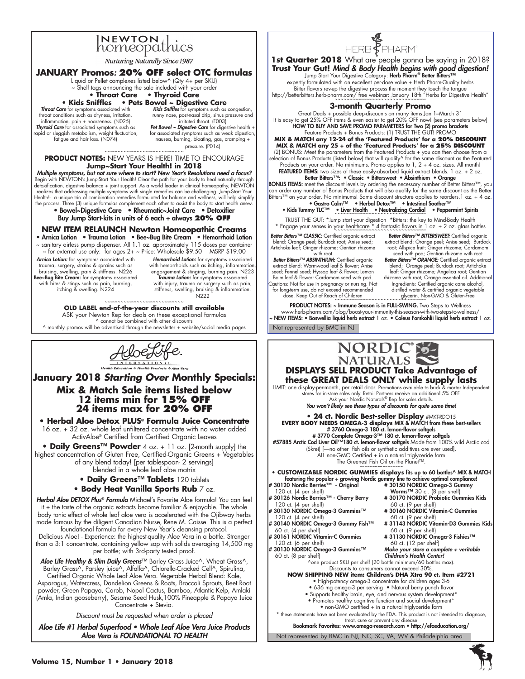

**Nurturing Naturally Since 1987** 

# **JANUARY Promos**: **20% OFF select OTC formulas**

- Liquid or Pellet complexes listed below^ (Qty 4+ per SKU)
- ~ Shelf tags announcing the sale included with your order **• Throat Care • Thyroid Care**

# **• Kids Sniffles • Pets Bowel ~ Digestive Care**

*Throat Care* for symptoms associated with throat conditions such as dryness, irritation, inflammation, pain + hoarseness. (N025) *Thyroid Care* for associated symptoms such as rapid or sluggish metabolism, weight fluctuation, fatigue and hair loss. (N074)

*Kids Sniffles* for symptoms such as congestion, runny nose, post-nasal drip, sinus pressure and irritated throat. (F003) Pet Bowel ~ Digestive Care for digestive health +

for associated symptoms such as weak digestion nausea, burning, bloating, gas, cramping + pressure. (P014)

~~~~~~~~~~~~~~~~~~~~~~~ **PRODUCT NOTES:** NEW YEARS IS HERE! TIME TO ENCOURAGE **Jump~Start Your Health! in 2018**

**Multiple symptoms, but not sure where to start? New Year's Resolutions need a focus?**<br>Begin with NEWTON's Jump-Start Your Health! Clear the path for your body to heal naturally through detoxification, digestive balance + joint support. As a world leader in clinical homeopathy, NEWTON realizes that addressing multiple symptoms with single remedies can be challenging. Jump-Start Your Health!- a unique trio of combination remedies formulated for balance and wellness, will help simplify the process. Three (3) unique formulas complement each other to assist the body to start health anew.

• Bowel~Digestive Care • Rheumatic~Joint Care • Detoxifier Buy Jump Start-kits in units of 6 each + always **20% OFF**

## **NEW ITEM RELAUNCH Newton Homeopathic Creams**

• Arnica Lotion • Trauma Lotion • Bee~Bug Bite Cream • Hemorrhoid Lotion ~ sanitary airless pump dispenser. All 1.1 oz. approximately 115 doses per container

~ for external use only: for ages 2+ ~ Price: Wholesale \$9.50 MSRP \$19.00 Arnica Lotion: for symptoms associated with

trauma, surgery, strains & sprains such as bruising, swelling, pain & stiffness. N226 Bee~Bug Bite Cream: for symptoms associated<br>with bites & stings such as pain, burning,<br>itching & swelling. N224

Hemorrhoid Lotion: for symptoms associated with hemorrhoids such as itching, inflammation engorgement & stinging, burning pain. N223 Trauma Lotion: for symptoms associated

with injury, trauma or surgery such as pain, stiffness, swelling, bruising & inflammation. N222 ~~~~~~~~~~~~~~~~~~~~~~~~~

**OLD LABEL end-of-the-year discounts still available** ASK your Newton Rep for deals on these exceptional formulas ^ cannot be combined with other discounts

 $\land$  monthly promos will be advertised through the newsletter + website/social media pages



**January 2018** *Starting Over* **Monthly Specials: Mix & Match Sale items listed below 12 items min for 15% off 24 items max for 20% off**

**• Herbal Aloe Detox PLUS® Formula Juice Concentrate**  16 oz. + 32 oz. whole leaf unfiltered concentrate with no water added ActivAloe® Certified from Certified Organic Leaves

**• Daily Greens™ Powder** 4 oz. + 11 oz. [2-month supply] the highest concentration of Gluten Free, Certified-Organic Greens + Vegetables of any blend today! [per tablespoon- 2 servings]

blended in a whole leaf aloe matrix

# **• Daily Greens™ Tablets** 120 tablets

**• Body Heat Vanilla Sports Rub** 7 oz.

*Herbal Aloe DETOX Plus® Formula* Michael's Favorite Aloe formula! You can feel it + the taste of the organic extracts become familiar & enjoyable. The whole body tonic effect of whole leaf aloe vera is accelerated with the Ojibway herbs made famous by the diligent Canadian Nurse, Rene M. Caisse. This is a perfect foundational formula for every New Year's cleansing protocol.

Delicious Aloe! - Experience: the highest-quality Aloe Vera in a bottle. Stronger than a 3:1 concentrate, containing yellow sap with solids averaging 14,500 mg per bottle; with 3rd-party tested proof.

*Aloe Life Healthy & Slim Daily Greens*™ Barley Grass Juice^, Wheat Grass^, Barley Grass^, Parsley juice^, Alfalfa^, Chlorella-Cracked Cell^, Spirulina, Certified Organic Whole Leaf Aloe Vera. Vegetable Herbal Blend: Kale, Asparagus, Watercress, Dandelion Greens & Roots, Broccoli Sprouts, Beet Root powder, Green Papaya, Carob, Nopal Cactus, Bamboo, Atlantic Kelp, Amlaki (Amla, Indian gooseberry), Sesame Seed Husk,100% Pineapple & Papaya Juice Concentrate + Stevia.

*Discount must be requested when order is placed*

Aloe Life #1 Herbal Superfood • Whole Leaf Aloe Vera Juice Products Aloe Vera is FOUNDATIONAL TO HEALTH



Not represented by BMC in NJ PRODUCT NOTES: ~ Immune Season is in FULL-SWING. Two Steps to Wellness www.herb-pharm.com/blog/boost-your-immunity-this-season-with-two-steps-to-wellness/ ~ NEW ITEMS: • Boswellia liquid herb extract 1 oz. • Coleus Forskohlii liquid herb extract 1 oz.



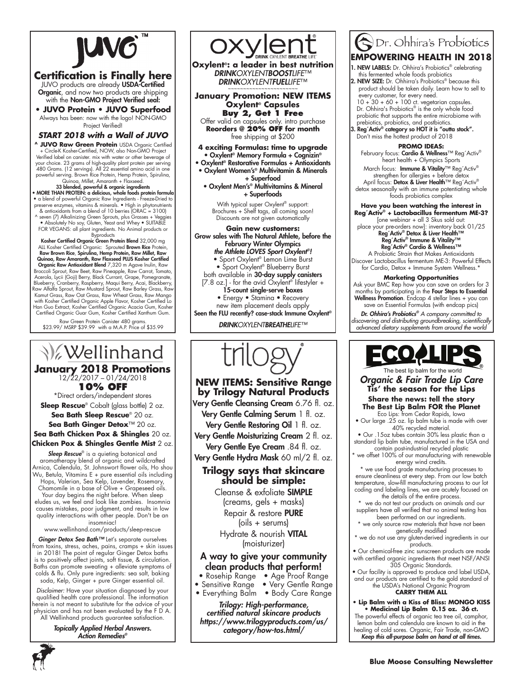

# **Certification is Finally here**

JUVO products are already USDA-Certified Organic, and now two products are shipping with the Non-GMO Project Verified seal:

**• JUVO Protein • JUVO Superfood** Always has been: now with the logo! NON-GMO Project Verified!

# *START 2018 with a Wall of JUVO*

**^ JUVO Raw Green Protein** USDA Organic Certified + Circle-K Kosher-Certified, NOW, also Non-GMO Project Verified label on canister. mix with water or other beverage of your choice. 23 grams of high-quality plant protein per serving 480 Grams. (12 servings). All 22 essential amino acid in one powerful serving. Brown Rice Protein, Hemp Protein, Spirulina, Quinoa, Millet, Amaranth + Flaxseed.

# 33 blended, powerful & organic ingredients • MORE THAN PROTEIN: a delicious, whole foods protein formula

• a blend of powerful Organic Raw Ingredients - Freeze-Dried to preserve enzymes, vitamins & minerals. • High in phytonutrients & antioxidants from a blend of 10 berries (ORAC = 3100)

^ seven (7) Alkalinizing Green Sprouts, plus Grasses + Veggies • Absolutely No soy, Gluten, Yeast and Whey • SUITABLE FOR VEGANS: all plant ingredients. No Animal products or **Byproducts** 

Kosher Certified Organic Green Protein Blend 32,000 mg ALL Kosher Certified Organic: Sprouted Brown Rice Protein, Raw Brown Rice, Spirulina, Hemp Protein, Raw Millet, Raw Quinoa, Raw Amaranth, Raw Flaxseed PLUS Kosher Certified Organic Raw Antioxidant Blend 7,320 m Agave Inulin, Raw Broccoli Sprout, Raw Beet, Raw Pineapple, Raw Carrot, Tomato, Acerola, Lycii (Goji) Berry, Black Currant, Grape, Pomegranate, Blueberry, Cranberry, Raspberry, Maqui Berry, Acai, Blackberry, Raw Alfalfa Sprout, Raw Mustard Sprout, Raw Barley Grass, Raw Kamut Grass, Raw Oat Grass, Raw Wheat Grass, Raw Mango with Kosher Certified Organic Apple Flavor, Kosher Certified Lo Han Guo Extract, Kosher Certified Organic Acacia Gum, Kosher Certified Organic Guar Gum, Kosher Certified Xanthum Gum.

Raw Green Protein Canister 480 grams. \$23.99/ MSRP \$39.99 with a M.A.P. Price of \$35.99

# **V**ellinhand **January 2018 Promotions** 12/22/2017 – 01/24/2018 **10% OFF** \*Direct orders/independent stores

**Sleep Rescue**® Cobalt (glass bottle) 2 oz. **Sea Bath Sleep Rescue**® 20 oz. **Sea Bath Ginger Detox**™ 20 oz. **Sea Bath Chicken Pox & Shingles** 20 oz.

**Chicken Pox & Shingles Gentle Mist** 2 oz.

Sleep Rescue® is a quieting botanical and aromatherapy blend of organic and wildcrafted Arnica, Calendula, St. Johnswort flower oils, Ho shou Wu, Betula, Vitamins E + pure essential oils including Hops, Valerian, Sea Kelp, Lavender, Rosemary, Chamomile in a base of Olive + Grapeseed oils. Your day begins the night before. When sleep eludes us, we feel and look like zombies. Insomnia causes mistakes, poor judgment, and results in low

quality interactions with other people. Don't be an insomniac!

www.wellinhand.com/products/sleep-rescue

*Ginger Detox Sea Bath™* Let's separate ourselves from toxins, stress, aches, pains, cramps + skin issues in 2018! The point of regular Ginger Detox baths is to positively affect joints, soft tissue, & circulation. Baths can promote sweating + alleviate symptoms of colds & flu. Only pure ingredients: sea salt, baking soda, Kelp, Ginger + pure Ginger essential oil.

*Disclaimer:* Have your situation diagnosed by your qualified health care professional. The information herein is not meant to substitute for the advice of your physician and has not been evaluated by the F D A. All Wellinhand products guarantee satisfaction.

> *Topically Applied Herbal Answers.*  Action Remedies*®*



**Oxylent®: a leader in best nutrition** DRINK*OXYLENTBOOSTLIFE*™ DRINK*OXYLENT*FUEL*LIFE*™ ~~~~~~~~~~~~~~~~~~~~~~~

**January Promotion: NEW ITEMS Oxylent® Capsules Buy 2, Get 1 Free**

Offer valid on capsules only. intro purchase **Reorders @ 20% OFF for month** free shipping at \$200

- **4 exciting Formulas: time to upgrade** • Oxylent® Memory Formula + Cognizin®
- Oxylent® Restorative Formulas + Antioxidants
- Oxylent Women's® Multivitamin & Minerals + Superfood

• Oxylent Men's® Multivitamins & Mineral + Superfoods

With typical super Oxylent<sup>®</sup> support: Brochures + Shelf tags, all coming soon! Discounts are not given automatically

### **Gain new customers:** Grow sales with The Natural Athlete, before the February Winter Olympics

the Athlete LOVES Sport Oxylent*®!* • Sport Oxylent® Lemon Lime Burst • Sport Oxylent<sup>®</sup> Blueberry Burst both available in 30-day supply canisters [7.8 oz.] - for the avid Oxylent® lifestyler + 15-count single-serve boxes • Energy • Stamina • Recovery

new item placement deals apply Seen the FLU recently? case-stack Immune Oxylent®

DRINK*OXYLENT*BREATHE*LIFE™*



# **NEW ITEMS: Sensitive Range by Trilogy Natural Products**

Very Gentle Cleansing Cream 6.76 fl. oz. Very Gentle Calming Serum 1 fl. oz. Very Gentle Restoring Oil 1 fl. oz. Very Gentle Moisturizing Cream 2 fl. oz.

Very Gentle Eye Cream .84 fl. oz. Very Gentle Hydra Mask 60 ml/2 fl. oz.

# **Trilogy says that skincare should be simple:**

Cleanse & exfoliate SIMPLE (creams, gels + masks) Repair & restore PURE

(oils + serums)

Hydrate & nourish VITAL (moisturizer)

# A way to give your community clean products that perform!

- Rosehip Range Age Proof Range
- Sensitive Range Very Gentle Range
- Everything Balm Body Care Range

Trilogy: High-performance, *certified natural skincare products*  https://www.trilogyproducts.com/us/ category/how-tos.html/

# Or. Ohhira's Probiotics **EMPOWERING HEALTH IN 2018**

- NEW LABELS: Dr. Ohhira's Probiotics® celebrating this fermented whole foods probiotics
- 2. NEW SIZE: Dr. Ohhirra's Probiotics<sup>®</sup> because this product should be taken daily. Learn how to sell to every customer, for every need. 10 + 30 + 60 + 100 ct. vegetarian capsules. Dr. Ohhira's Probiotics® is the only whole food

probiotic that supports the entire microbiome with prebiotics, probiotics, and postbiotics.<br>3. Reg´Activ® category so HOT it is "outta stock".

Don't miss the hottest product of 2018

**Promo ideas:** February focus: Cardio & Wellness™ Reg´Activ® heart health + Olympics Sports

March focus: Immune & Vitality™ Reg´Activ® strengthen for allergies + before detox April focus: Detox & Liver Health™ Reg´Activ® detox seasonally with an immune potentiating whole foods probiotics complex

**Have you been watching the interest in Reg´Activ® + Lactobacillus fermentum ME-3?**

[one webinar + all 3 Skus sold out:

place your pre-orders now]: inventory back 01/25<br>Reg´Activ® Detox & Liver Health™

#### Reg´Activ® Immune & Vitality™ Reg´Activ® Cardio & Wellness™

A Probiotic Strain that Makes Antioxidants Discover Lactobacillus fermentum ME-3: Powerful Effects for Cardio, Detox + Immune System Wellness.\*

### **Marketing Opportunities**

Ask your BMC Rep how you can save on orders for 3 months by participating in the Four Steps to Essential Wellness Promotion. Endcap 4 stellar lines + you can save on Essential Formulas (with endcap pics)

*Dr. Ohhira's Probiotics® A company committed to discovering and distributing groundbreaking, scientifically advanced dietary supplements from around the world*



The best lip balm for the world *Organic & Fair Trade Lip Care* **Tis' the season for the Lips Share the news: tell the story The Best Lip Balm FOR the Planet**

Eco Lips: from Cedar Rapids, Iowa • Our large .25 oz. lip balm tube is made with over 40% recycled material.

• Our .15oz tubes contain 30% less plastic than a standard lip balm tube, manufactured in the USA and contain post-industrial recycled plastic

we offset 100% of our manufacturing with renewable energy wind credits.

\* we use food grade manufacturing processes to ensure cleanliness at every step. From our low batch temperature, slow-fill manufacturing process to our lot coding and labeling lines, we are acutely focused on the details of the entire process.

we do not test our products on animals and our suppliers have all verified that no animal testing has

- been performed on our ingredients. \* we only source raw materials that have not been
- genetically modified \* we do not use any gluten-derived ingredients in our products.
- Our chemical-free zinc sunscreen products are made with certified organic ingredients that meet NSF/ANSI 305 Organic Standards.
- Our facility is approved to produce and label USDA, and our products are certified to the gold standard of the USDA's National Organic Program

**Carry them all**

**• Lip Balm with a Kiss of Bliss: MONGO KISS • Medicinal Lip Balm 0.15 oz. 36 ct.**

The powerful effects of organic tea tree oil, camphor, lemon balm and calendula are known to aid in the healing of cold sores. Organic, Fair Trade, non-GMO *Keep this all-purpose balm on hand at all times.*

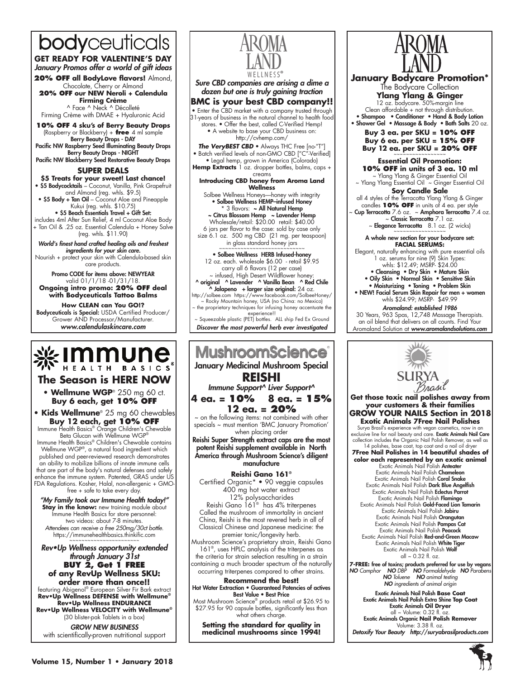# bodyceuticals

**GET READY FOR VALENTINE'S DAY** January Promos offer a world of gift ideas

**20% off all BodyLove flavors!** Almond, Chocolate, Cherry or Almond

**20% off our NEW Neroli + Calendula Firming Crème**

^ Face ^ Neck ^ Décolleté Firming Crème with DMAE + Hyaluronic Acid

**10% off 4 sku's of Berry Beauty Drops** (Raspberry or Blackberry) + **free** 4 ml sample Berry Beauty Drops - DAY Pacific NW Raspberry Seed Illuminating Beauty Drops

Berry Beauty Drops - NIGHT Pacific NW Blackberry Seed Restorative Beauty Drops

**super deals**

# **\$5 Treats for your sweet! Last chance!**

• \$5 Bodycocktails – Coconut, Vanilla, Pink Grapefruit and Almond (reg. whls. \$9.5)

• \$5 Body + Tan Oil – Coconut Aloe and Pineapple Kukui (reg. whls. \$10.75)

• \$5 Beach Essentials Travel + Gift Set:

includes 4ml After Sun Relief, 4 ml Coconut Aloe Body + Tan Oil & .25 oz. Essential Calendula + Honey Salve (reg. whls. \$11.90)

World's finest hand crafted healing oils and freshest *ingredients for your skin care.* 

Nourish + protect your skin with Calendula-based skin care products.

Promo CODE for items above: NEWYEAR valid 01/1/18 -01/31/18. **Ongoing intro promo: 20% OFF deal with Bodyceuticals Tattoo Balms** 

**How CLEAN can You GO!?**  Bodyceuticals is Special: USDA Certified Producer/ Grower AND Processor/Manufacturer. *www.calendulaskincare.com*



# **The Season is HERE NOW**

**• Wellmune WGP**® 250 mg 60 ct. **Buy 6 each, get 10% OFF**

**• Kids Wellmune**® 25 mg 60 chewables **Buy 12 each, get 10% OFF** Immune Health Basics® Orange Children's Chewable

Beta Glucan with Wellmune WGP® Immune Health Basics® Children's Chewable contains Wellmune WGP®, a natural food ingredient which published and peer-reviewed research demonstrates an ability to mobilize billions of innate immune cells that are part of the body's natural defenses and safely enhance the immune system. Patented, GRAS under US FDA Regulations. Kosher, Halal, non-allergenic + GMOfree + safe to take every day.

"My Family took our Immune Health today!" **Stay in the know:** new training module about Immune Health Basics for store personnel: two videos: about 7-8 minutes. *Attendees can receive a free 250mg/30ct bottle.*  https://immunehealthbasics.thinkific.com ~~~~~~~~~~~~~~~~~~~~~~~

Rev•Up Wellness opportunity extended through January 31st **BUY 2, Get 1 F**I **of any RevUp Wellness SKU: order more than once!!** featuring Abigenol® European Silver Fir Bark extract **Rev•Up Wellness DEFENSE with Wellmune® Rev•Up Wellness ENDURANCE Rev•Up Wellness VELOCITY with Wellmune®**

(30 blister-pak Tablets in a box) GROW NEW BUSINESS

with scientifically-proven nutritional support



*Sure CBD companies are arising a dime a dozen but one is truly gaining traction*

**BMC is your best CBD company!! •** Enter the CBD market with a company trusted through 31-years of business in the natural channel to health food stores. • Offer the best, called C-Verified Hemp! • A website to base your CBD business on: http://cvhemp.com/ *The VeryBEST CBD* • Always THC Free [no-"T"]

• Batch verified levels of non-GMO CBD ["C"-Verified] • Legal hemp, grown in America (Colorado)

**Hemp Extracts** 1 oz. dropper bottles, balms, caps + creams

**Introducing CBD honey from Aroma Land Wellness**

Solbee Wellness Honeys—honey with integrity • Solbee Wellness HEMP–infused Honey \* 3 flavors: ~ All Natural Hemp ~ Citrus Blossom Hemp ~ Lavender Hemp

Wholesale/retail: \$20.00 retail: \$40.00 6 jars per flavor to the case: sold by case only size 6.1 oz. 500 mg CBD (21 mg. per teaspoon)

in glass standard honey jars • Solbee Wellness HERB Infused-honey 12 oz. each. wholesale \$6.00 - retail \$9.95 carry all 6 flavors (12 per case) ~ infused, High Desert Wildflower honey: ^ original ^ Lavender ^ Vanilla Bean ^ Red Chile

 $\lambda$  Jalapeno + larger size original: 24 oz. http://solbee.com https://www.facebook.com/SolbeeHoney/ ~ Rocky Mountain honey, USA (no China: no Mexico) the proprietary techniques for infusing honey accentuate the experience!!

~ Squeezable plastic (PET) bottles. ALL ship Fed Ex Ground *Discover the most powerful herb ever investigated*

## **MushroomScience** January Medicinal Mushroom Special **REISHI** Immune Support^ Liver Support^ **4 ea. = 10% 8 ea. = 15% 12 ea. = 20%**   $\sim$  on the following items: not combined with other specials ~ must mention 'BMC January Promotion' when placing order Reishi Super Strength extract caps are the most potent Reishi supplement available in North America through Mushroom Science's diligent manufacture **Reishi Gano 161®** Certified Organic\* • 90 veggie capsules 400 mg hot water extract 12% polysaccharides

Reishi Gano 161® has 4% triterpenes Called the mushroom of immortality in ancient China, Reishi is the most revered herb in all of Classical Chinese and Japanese medicine: the premier tonic/longevity herb.

Mushroom Science's proprietary strain, Reishi Gano 161®, uses HPLC analysis of the triterpenes as the criteria for strain selection resulting in a strain containing a much broader spectrum of the naturally occurring triterpenes compared to other strains.

**Recommend the best!** Hot Water Extraction • Guaranteed Potencies of actives Best Value • Best Price

Most Mushroom Science® products retail at \$26.95 to \$27.95 for 90 capsule bottles, significantly less than what others charge.

**Setting the standard for quality in medicinal mushrooms since 1994!**



**January Bodycare Promotion\*** The Bodycare Collection **Ylang Ylang & Ginger** 12 oz. bodycare. 50%-margin line Clean affordable + not through distribution. • Shampoo • Conditioner • Hand & Body Lotion • Shower Gel • Massage & Body • Bath Salts 20 oz. **Buy 3 ea. per SKU = 10% OFF Buy 6 ea. per SKU = 15% OFF Buy 12 ea. per SKU = 20% OFF** 

**Essential Oil Promotion: 10% OFF in units of 3 ea. 10 ml** ~ Ylang Ylang & Ginger Essential Oil

~ Ylang Ylang Essential Oil ~ Ginger Essential Oil **Soy Candle Sale**

all 4 styles of the Terracotta Ylang Ylang & Ginger<br>candles 10% OFF in units of 4 ea. per style<br>a **Cup Terracotta** 7.6 oz. ~ **Amphora Terracotta** 7.4 oz.

~ Classic Terracotta 7.1 oz.  $\sim$  Elegance Terracotta 8.1 oz. (2 wicks)

#### A whole new section for your bodycare set: **Facial Serums:**

Elegant, naturally enhancing with pure essential oils 1 oz. serums for nine (9) Skin Types: whls: \$12.49; MSRP- \$24.00

- Cleansing Dry Skin Mature Skin
- Oily Skin Normal Skin Sensitive Skin
- Moisturizing Toning Problem Skin • NEW! Facial Serum Skin Repair for men + women whls \$24.99; MSRP- \$49.99

Aromaland: established 1986

30 Years, 963 Spas, 12,748 Massage Therapists. an oil blend that delivers on all counts. Find Your Aromaland Solution at *www.aromalandsolutions.com*



**Get those toxic nail polishes away from your customers & their families GROW YOUR NAILS Section in 2018 Exotic Animals 7Free Nail Polishes**  Surya Brasil's experience with vegan cosmetics, now in an

exclusive line for nail beauty and care. **Exotic Animals Nail Care**<br>collection includes the Organic Nail Polish Remover, as well as<br>14 polishes, base coat, top coat and a nail oil dryer **7Free Nail Polishes in 14 beautiful shades of color each represented by an exotic animal** Exotic Animals Nail Polish Anteater Exotic Animals Nail Polish Chameleon Exotic Animals Nail Polish Coral Snake

Exotic Animals Nail Polish Dark Blue Angelfish Exotic Animals Nail Polish Eclectus Parrot Exotic Animals Nail Polish Flamingo Exotic Animals Nail Polish Gold-Faced Lion Tamarin Exotic Animals Nail Polish Jabiru

Exotic Animals Nail Polish Orangutan Exotic Animals Nail Polish Pampas Cat Exotic Animals Nail Polish Peacock Exotic Animals Nail Polish Red-and-Green Macaw Exotic Animals Nail Polish White Tiger Exotic Animals Nail Polish Wolf all ~ 0.32 fl. oz.

**7-FREE:** free of toxins; products preferred for use by vegans<br>NO Camphor NO DBP NO Formaldehyde NO Parabens<br>NO Toluene NO animal testing *NO ingredients of animal origin*

Exotic Animals Nail Polish **Base Coat** Exotic Animals Nail Polish Extra Shine **Top Coat** Exotic Animals **Oil Dryer** all ~ Volume: 0.32 fl. oz. Exotic Animals Organic **Nail Polish Remover**  Volume: 3.38 fl. oz. Detoxify Your Beauty http://suryabrasilproducts.com

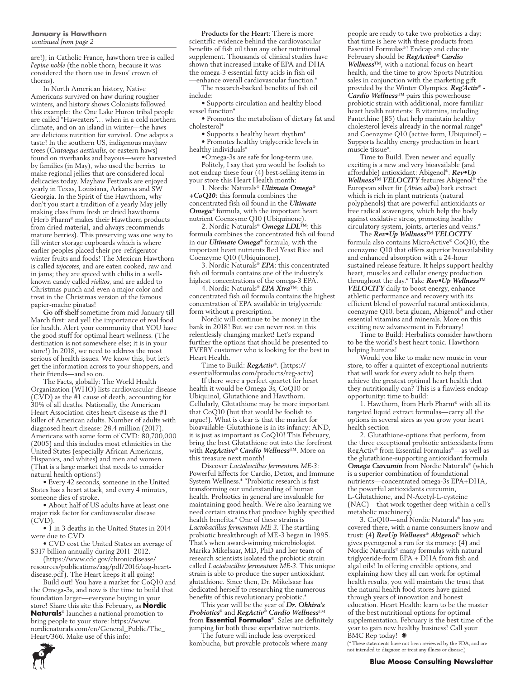### **January is Hawthorn**  *continued from page 2*

are!); in Catholic France, hawthorn tree is called *l'epine noble* (the noble thorn, because it was considered the thorn use in Jesus' crown of thorns).

In North American history, Native Americans survived on haw during rougher winters, and history shows Colonists followed this example: the One Lake Huron tribal people are called "Haweaters"… when in a cold northern climate, and on an island in winter—the haws are delicious nutrition for survival. One adapts a taste! In the southern US, indigenous mayhaw trees (*Crataegus aestivalis*, or eastern haws) found on riverbanks and bayous—were harvested by families (in May), who used the berries to make regional jellies that are considered local delicacies today. Mayhaw Festivals are enjoyed yearly in Texas, Louisiana, Arkansas and SW Georgia. In the Spirit of the Hawthorn, why don't you start a tradition of a yearly May jelly making class from fresh or dried hawthorns (Herb Pharm® makes their Hawthorn products from dried material, and always recommends mature berries). This preserving was one way to fill winter storage cupboards which is where earlier peoples placed their pre-refrigerator winter fruits and foods! The Mexican Hawthorn is called *tejocotes*, and are eaten cooked, raw and in jams; they are spiced with chilis in a wellknown candy called *rielitos*, and are added to Christmas punch and even a major color and treat in the Christmas version of the famous papier-mache pinatas!

**Go off-shelf** sometime from mid-January till March first: and yell the importance of real food for health. Alert your community that YOU have the good stuff for optimal heart wellness. (The destination is not somewhere else; it is in your store!) In 2018, we need to address the most serious of health issues. We know this, but let's get the information across to your shoppers, and their friends—and so on.

The Facts, globally: The World Health Organization (WHO) lists cardiovascular disease (CVD) as the #1 cause of death, accounting for 30% of all deaths. Nationally, the American Heart Association cites heart disease as the #1 killer of American adults. Number of adults with diagnosed heart disease: 28.4 million (2017). Americans with some form of CVD: 80,700,000 (2005) and this includes most ethnicities in the United States (especially African Americans, Hispanics, and whites) and men and women. (That is a large market that needs to consider natural health options!)

• Every 42 seconds, someone in the United States has a heart attack, and every 4 minutes, someone dies of stroke.

• About half of US adults have at least one major risk factor for cardiovascular disease (CVD).

• 1 in 3 deaths in the United States in 2014 were due to CVD.

• CVD cost the United States an average of \$317 billion annually during 2011–2012.

(https://www.cdc.gov/chronicdisease/ resources/publications/aag/pdf/2016/aag-heartdisease.pdf). The Heart keeps it all going!

Build out! You have a market for CoQ10 and the Omega-3s, and now is the time to build that foundation larger—everyone buying in your store! Share this site this February, as **Nordic Naturals**® launches a national promotion to bring people to your store: https://www. nordicnaturals.com/en/General\_Public/The\_ Heart/366. Make use of this info:

**Products for the Heart**: There is more scientific evidence behind the cardiovascular benefits of fish oil than any other nutritional supplement. Thousands of clinical studies have shown that increased intake of EPA and DHA the omega-3 essential fatty acids in fish oil —enhance overall cardiovascular function.\*

The research-backed benefits of fish oil include:

• Supports circulation and healthy blood vessel function\*

• Promotes the metabolism of dietary fat and cholesterol\*

• Supports a healthy heart rhythm\* • Promotes healthy triglyceride levels in healthy individuals\*

•Omega-3s are safe for long-term use. Politely, I say that you would be foolish to not endcap these four (4) best-selling items in your store this Heart Health month:

1. Nordic Naturals® *Ultimate Omega® +CoQ10*: this formula combines the concentrated fish oil found in the *Ultimate Omega*® formula, with the important heart nutrient Coenzyme Q10 (Ubiquinone).

2. Nordic Naturals® *Omega LDL™*: this formula combines the concentrated fish oil found in our *Ultimate Omega*® formula, with the important heart nutrients Red Yeast Rice and Coenzyme Q10 (Ubiquinone).

3. Nordic Naturals® *EPA*: this concentrated fish oil formula contains one of the industry's highest concentrations of the omega-3 EPA.

4. Nordic Naturals® *EPA Xtra*™: this concentrated fish oil formula contains the highest concentration of EPA available in triglyceride form without a prescription.

Nordic will continue to be money in the bank in 2018! But we can never rest in this relentlessly changing market! Let's expand further the options that should be presented to EVERY customer who is looking for the best in Heart Health.

Time to Build: *RegActiv*®. (https:// essentialformulas.com/products/reg-activ)

If there were a perfect quartet for heart health it would be Omega-3s, CoQ10 or Ubiquinol, Glutathione and Hawthorn. Cellularly, Glutathione may be more important that CoQ10 (but that would be foolish to argue!). What is clear is that the market for bioavailable-Glutathione is in its infancy: AND, it is just as important as CoQ10! This February, bring the best Glutathione out into the forefront with *RegActive® Cardio Wellness™*. More on this treasure next month!

Discover *Lactobacillus fermentum ME-3*: Powerful Effects for Cardio, Detox, and Immune System Wellness.\* "Probiotic research is fast transforming our understanding of human health. Probiotics in general are invaluable for maintaining good health. We're also learning we need certain strains that produce highly specified health benefits.\* One of these strains is *Lactobacillus fermentum ME-3.* The startling probiotic breakthrough of ME-3 began in 1995. That's when award-winning microbiologist Marika Mikelsaar, MD, PhD and her team of research scientists isolated the probiotic strain called *Lactobacillus fermentum ME-3*. This unique strain is able to produce the super antioxidant glutathione. Since then, Dr. Mikelsaar has dedicated herself to researching the numerous benefits of this revolutionary probiotic.<sup>\*</sup>

This year will be the year of *Dr. Ohhira's Probiotics*® and *RegActiv® Cardio Wellness*™ from **Essential Formulas**®. Sales are definitely jumping for both these superlative nutrients.

The future will include less overpriced kombucha, but provable protocols where many people are ready to take two probiotics a day: that time is here with these products from Essential Formulas®! Endcap and educate. February should be *RegActive® Cardio Wellness™*, with a national focus on heart health, and the time to grow Sports Nutrition sales in conjunction with the marketing gift provided by the Winter Olympics. *Reg'Activ® - Cardio Wellness™* pairs this powerhouse probiotic strain with additional, more familiar heart health nutrients: B vitamins, including Pantethine (B5) that help maintain healthy cholesterol levels already in the normal range\* and Coenzyme Q10 (active form, Ubiquinol) – Supports healthy energy production in heart muscle tissue\*.

Time to Build. Even newer and equally exciting is a new and very bioavailable (and affordable) antioxidant: Abigenol®. *Rev•Up Wellness™ VELOCITY* features Abigenol® the European silver fir (*Abies alba*) bark extract which is rich in plant nutrients (natural polyphenols) that are powerful antioxidants or free radical scavengers, which help the body against oxidative stress, promoting healthy circulatory system, joints, arteries and veins.\*

The *Rev•Up Wellness™ VELOCITY*  formula also contains MicroActive® CoQ10, the coenzyme Q10 that offers superior bioavailability and enhanced absorption with a 24-hour sustained release feature. It helps support healthy heart, muscles and cellular energy production throughout the day.\* Take *Rev•Up Wellness™ VELOCITY* daily to boost energy, enhance athletic performance and recovery with its efficient blend of powerful natural antioxidants, coenzyme Q10, beta glucan, Abigenol® and other essential vitamins and minerals. More on this exciting new advancement in February!

Time to Build: Herbalists consider hawthorn to be the world's best heart tonic. Hawthorn helping humans!

Would you like to make new music in your store, to offer a quintet of exceptional nutrients that will work for every adult to help them achieve the greatest optimal heart health that they nutritionally can? This is a flawless endcap opportunity: time to build:

1. Hawthorn, from Herb Pharm® with all its targeted liquid extract formulas—carry all the options in several sizes as you grow your heart health section

2. Glutathione-options that perform, from the three exceptional probiotic antioxidants from RegActiv® from Essential Formulas®—as well as the glutathione-supporting antioxidant formula *Omega Curcumin* from Nordic Naturals® (which is a superior combination of foundational nutrients—concentrated omega-3s EPA+DHA, the powerful antioxidants curcumin, L-Glutathione, and N-Acetyl-L-cysteine (NAC)—that work together deep within a cell's metabolic machinery)

3. CoQ10—and Nordic Naturals® has you covered there, with a name consumers know and trust: (4) *RevUp Wellness® Abigenol*® which gives pycnogenol a run for its money: (4) and Nordic Naturals® many formulas with natural triglyceride-form EPA + DHA from fish and algal oils! In offering credible options, and explaining how they all can work for optimal health results, you will maintain the trust that the natural health food stores have gained through years of innovation and honest education. Heart Health: learn to be the master of the best nutritional options for optimal supplementation. February is the best time of the year to gain new healthy business! Call your BMC Rep today!  $\bullet$ 

(\* These statements have not been reviewed by the FDA, and are not intended to diagnose or treat any illness or disease.)

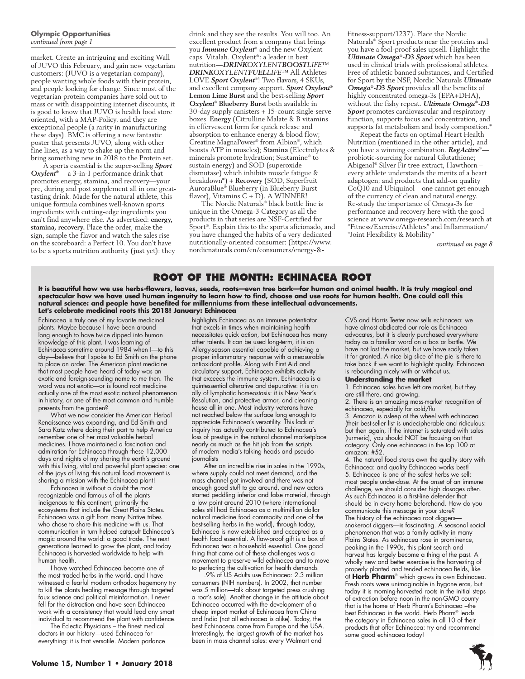### **Olympic Opportunities**  *continued from page 1*

market. Create an intriguing and exciting Wall of JUVO this February, and gain new vegetarian customers: (JUVO is a vegetarian company), people wanting whole foods with their protein, and people looking for change. Since most of the vegetarian protein companies have sold out to mass or with disappointing internet discounts, it is good to know that JUVO is health food store oriented, with a MAP-Policy, and they are exceptional people (a rarity in manufacturing these days). BMC is offering a new fantastic poster that presents JUVO, along with other fine lines, as a way to shake up the norm and bring something new in 2018 to the Protein set.

A sports essential is the super-selling *Sport Oxylent®* —a 3-in-1 performance drink that promotes energy, stamina, and recovery—your pre, during and post supplement all in one greattasting drink. Made for the natural athlete, this unique formula combines well-known sports ingredients with cutting-edge ingredients you can't find anywhere else. As advertised: **energy, stamina, recovery.** Place the order, make the sign, sample the flavor and watch the sales rise on the scoreboard: a Perfect 10. You don't have to be a sports nutrition authority (just yet): they

drink and they see the results. You will too. An excellent product from a company that brings you *Immune Oxylent*® and the new Oxylent caps. Vitalah. Oxylent®: a leader in best nutrition—*DRINKOXYLENTBOOSTLIFE™ DRINKOXYLENTFUELLIFE™* All Athletes LOVE *Sport Oxylent*®! Two flavors, 4 SKUs, and excellent company support. *Sport Oxylent®* **Lemon Lime Burst** and the best-selling *Sport Oxylent®* **Blueberry Burst** both available in 30-day supply canisters + 15-count single-serve boxes. **Energy** (Citrulline Malate & B vitamins in effervescent form for quick release and absorption to enhance energy & blood flow; Creatine MagnaPower® from Albion®, which boosts ATP in muscles); **Stamina** (Electrolytes & minerals promote hydration; Sustamine® to sustain energy) and SOD (superoxide dismutase) which inhibits muscle fatigue & breakdown\*) + **Recovery** (SOD, Superfruit AuroraBlue® Blueberry (in Blueberry Burst flavor), Vitamins  $C + D$ ). A WINNER!

The Nordic Naturals® black bottle line is unique in the Omega-3 Category as all the products in that series are NSF-Certified for Sport®. Explain this to the sports aficionado, and you have changed the habits of a very dedicated nutritionally-oriented consumer: (https://www. nordicnaturals.com/en/consumers/energy-&-

fitness-support/1237). Place the Nordic Naturals® Sport products near the proteins and you have a fool-proof sales upsell. Highlight the *Ultimate Omega®-D3 Sport* which has been used in clinical trials with professional athletes. Free of athletic banned substances, and Certified for Sport by the NSF, Nordic Naturals *Ultimate Omega®-D3 Sport* provides all the benefits of highly concentrated omega-3s (EPA+DHA), without the fishy repeat. *Ultimate Omega®-D3 Sport* promotes cardiovascular and respiratory function, supports focus and concentration, and supports fat metabolism and body composition.\*

Repeat the facts on optimal Heart Health Nutrition (mentioned in the other article), and you have a winning combination. *RegActive*® probiotic-sourcing for natural Glutathione; Abigenol® Silver Fir tree extract, Hawthorn – every athlete understands the merits of a heart adaptogen; and products that add-on quality CoQ10 and Ubiquinol—one cannot get enough of the currency of clean and natural energy. Re-study the importance of Omega-3s for performance and recovery here with the good science at www.omega-research.com/research at "Fitness/Exercise/Athletes" and Inflammation/ "Joint Flexibility & Mobility"

*continued on page 8*

# **Root of the Month: Echinacea Root**

**It is beautiful how we use herbs-flowers, leaves, seeds, roots—even tree bark—for human and animal health. It is truly magical and spectacular how we have used human ingenuity to learn how to find, choose and use roots for human health. One could call this natural science: and people have benefited for millenniums from these intellectual advancements. Let's celebrate medicinal roots this 2018! January: Echinacea**

Echinacea is truly one of my favorite medicinal plants. Maybe because I have been around long enough to have twice dipped into human knowledge of this plant. I was learning of Echinacea sometime around 1984 when I—to this day—believe that I spoke to Ed Smith on the phone to place an order. The American plant medicine that most people have heard of today was an exotic and foreign-sounding name to me then. The word was not exotic—or is found root medicine actually one of the most exotic natural phenomenon in history, or one of the most common and humble presents from the garden?

What we now consider the American Herbal Renaissance was expanding, and Ed Smith and Sara Katz where doing their part to help America remember one of her most valuable herbal medicines. I have maintained a fascination and admiration for Echinacea through these 12,000 days and nights of my sharing the earth's ground with this living, vital and powerful plant species: one of the joys of living this natural food movement is sharing a mission with the Echinacea plant!

Echinacea is without a doubt the most recognizable and famous of all the plants indigenous to this continent, primarily the ecosystems that include the Great Plains States. Echinacea was a gift from many Native tribes who chose to share this medicine with us. That communication in turn helped catapult Echinacea's magic around the world: a good trade. The next generations learned to grow the plant, and today Echinacea is harvested worldwide to help with human health.

I have watched Echinacea become one of the most traded herbs in the world, and I have witnessed a fearful modern orthodox hegemony try to kill the plants healing message through targeted faux science and political misinformation. I never fell for the distraction and have seen Echinacea work with a consistency that would lead any smart individual to recommend the plant with confidence.

The Eclectic Physicians – the finest medical doctors in our history—used Echinacea for everything: it is that versatile. Modern parlance highlights Echinacea as an immune potentiator that excels in times when maintaining health necessitates quick action, but Echinacea has many other talents. It can be used long-term, it is an Allergy-season essential capable of achieving a proper inflammatory response with a measurable antioxidant profile. Along with First Aid and circulatory support, Echinacea exhibits activity that exceeds the immune system. Echinacea is a quintessential alterative and depurative: it is an ally of lymphatic homeostasis: it is New Year's Resolution, and protective armor, and cleaning house all in one. Most industry veterans have not reached below the surface long enough to appreciate Echinacea's versatility. This lack of inquiry has actually contributed to Echinacea's loss of prestige in the natural channel marketplace nearly as much as the hit job from the scripts of modern media's talking heads and pseudojournalists

After an incredible rise in sales in the 1990s, where supply could not meet demand, and the mass channel got involved and there was not enough good stuff to go around, and new actors started peddling inferior and false material, through a low point around 2010 (where international sales still had Echinacea as a multimillion dollar natural medicine food commodity and one of the best-selling herbs in the world), through today, Echinacea is now established and accepted as a health food essential. A flaw-proof gift is a box of Echinacea tea: a household essential. One good thing that came out of these challenges was a movement to preserve wild echinacea and to move to perfecting the cultivation for health demands

.9% of US Adults use Echinacea: 2.3 million consumers (NIH numbers). In 2002, that number was 5 million—talk about targeted press crushing a root's sale). Another change in the attitude about Echinacea occurred with the development of a cheap import market of Echinacea from China and India (not all echinacea is alike). Today, the best Echinaceas come from Europe and the USA. Interestingly, the largest growth of the market has been in mass channel sales: every Walmart and

CVS and Harris Teeter now sells echinacea: we have almost abdicated our role as Echinacea advocates, but it is clearly purchased everywhere today as a familiar word on a box or bottle. We have not lost the market, but we have sadly taken it for granted. A nice big slice of the pie is there to take back if we want to highlight quality. Echinacea is rebounding nicely with or without us.

### **Understanding the market**

1. Echinacea sales have left are market, but they are still there, and growing.

2. There is an amazing mass-market recognition of echinacea, especially for cold/flu

3. Amazon is asleep at the wheel with echinacea (their best-seller list is undecipherable and ridiculous: but then again, if the internet is saturated with sales (turmeric), you should NOT be focusing on that category. Only one echinacea in the top 100 at amazon: #52.

4. The natural food stores own the quality story with Echinacea: and quality Echinacea works best! 5. Echinacea is one of the safest herbs we sell: most people under-dose. At the onset of an immune challenge, we should consider high dosages often. As such Echinacea is a first-line defender that should be in every home beforehand. How do you communicate this message in your store? The history of the echinacea root diggerssnakeroot diggers—is fascinating. A seasonal social phenomenon that was a family activity in many Plains States. As echinacea rose in prominence, peaking in the 1990s, this plant search and harvest has largely become a thing of the past. A wholly new and better exercise is the harvesting of properly planted and tended echinacea fields, like at **Herb Pharm**® which grows its own Echinacea. Fresh roots were unimaginable in bygone eras, but today it is morning-harvested roots in the initial steps of extraction before noon in the non-GMO county that is the home of Herb Pharm's Echinacea –the best Echinacea in the world. Herb Pharm® leads the category in Echinacea sales in all 10 of their products that offer Echinacea: try and recommend some good echinacea today!